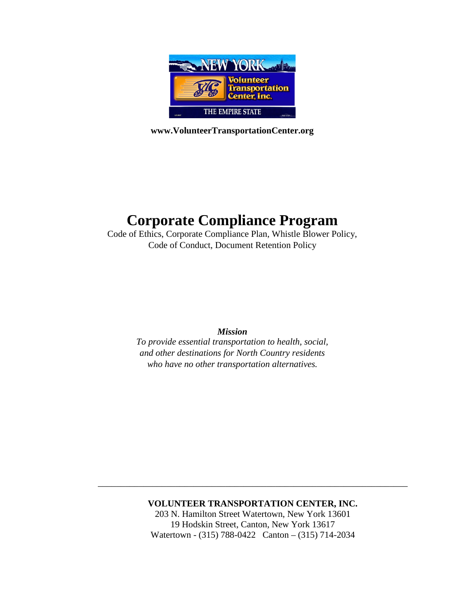

**www.VolunteerTransportationCenter.org**

# **Corporate Compliance Program**

Code of Ethics, Corporate Compliance Plan, Whistle Blower Policy, Code of Conduct, Document Retention Policy

*Mission*

*To provide essential transportation to health, social, and other destinations for North Country residents who have no other transportation alternatives.*

#### **VOLUNTEER TRANSPORTATION CENTER, INC.**

\_\_\_\_\_\_\_\_\_\_\_\_\_\_\_\_\_\_\_\_\_\_\_\_\_\_\_\_\_\_\_\_\_\_\_\_\_\_\_\_\_\_\_\_\_\_\_\_\_\_\_\_\_\_\_\_\_\_\_\_\_\_\_\_\_\_\_\_

203 N. Hamilton Street Watertown, New York 13601 19 Hodskin Street, Canton, New York 13617 Watertown - (315) 788-0422 Canton – (315) 714-2034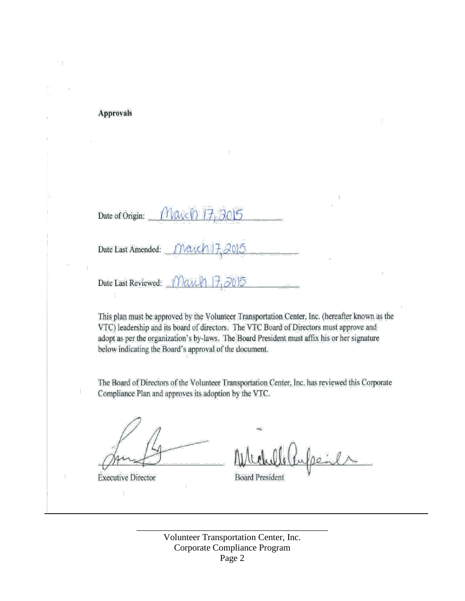$\| \mathbb{I} \|$ **Approvals**  $\frac{1}{16}$  $\mathbb{H}$  $\overline{\mathbb{Q}}$  $\sigma$ Date of Origin: Date Last Amended:  $\mathbb{I}$ Date Last Reviewed: May  $\overline{a}$ This plan must be approved by the Volunteer Transportation Center, Inc. (hereafter known as the VTC) leadership and its board of directors. The VTC Board of Directors must approve and adopt as per the organization's by-laws. The Board President must affix his or her signature below indicating the Board's approval of the document. The Board of Directors of the Volunteer Transportation Center, Inc. has reviewed this Corporate  $\begin{bmatrix} \phantom{-} & \phantom{-} \\ \phantom{-} & \phantom{-} \end{bmatrix}$ Compliance Plan and approves its adoption by the VTC. **Executive Director Board President** 

> Volunteer Transportation Center, Inc. Corporate Compliance Program Page 2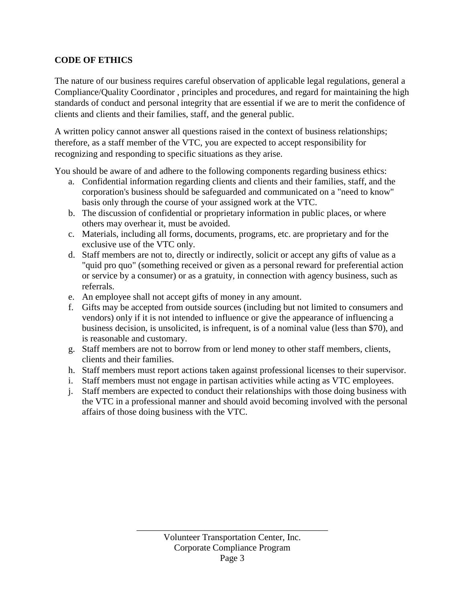# **CODE OF ETHICS**

The nature of our business requires careful observation of applicable legal regulations, general a Compliance/Quality Coordinator , principles and procedures, and regard for maintaining the high standards of conduct and personal integrity that are essential if we are to merit the confidence of clients and clients and their families, staff, and the general public.

A written policy cannot answer all questions raised in the context of business relationships; therefore, as a staff member of the VTC, you are expected to accept responsibility for recognizing and responding to specific situations as they arise.

You should be aware of and adhere to the following components regarding business ethics:

- a. Confidential information regarding clients and clients and their families, staff, and the corporation's business should be safeguarded and communicated on a "need to know" basis only through the course of your assigned work at the VTC.
- b. The discussion of confidential or proprietary information in public places, or where others may overhear it, must be avoided.
- c. Materials, including all forms, documents, programs, etc. are proprietary and for the exclusive use of the VTC only.
- d. Staff members are not to, directly or indirectly, solicit or accept any gifts of value as a "quid pro quo" (something received or given as a personal reward for preferential action or service by a consumer) or as a gratuity, in connection with agency business, such as referrals.
- e. An employee shall not accept gifts of money in any amount.
- f. Gifts may be accepted from outside sources (including but not limited to consumers and vendors) only if it is not intended to influence or give the appearance of influencing a business decision, is unsolicited, is infrequent, is of a nominal value (less than \$70), and is reasonable and customary.
- g. Staff members are not to borrow from or lend money to other staff members, clients, clients and their families.
- h. Staff members must report actions taken against professional licenses to their supervisor.
- i. Staff members must not engage in partisan activities while acting as VTC employees.
- j. Staff members are expected to conduct their relationships with those doing business with the VTC in a professional manner and should avoid becoming involved with the personal affairs of those doing business with the VTC.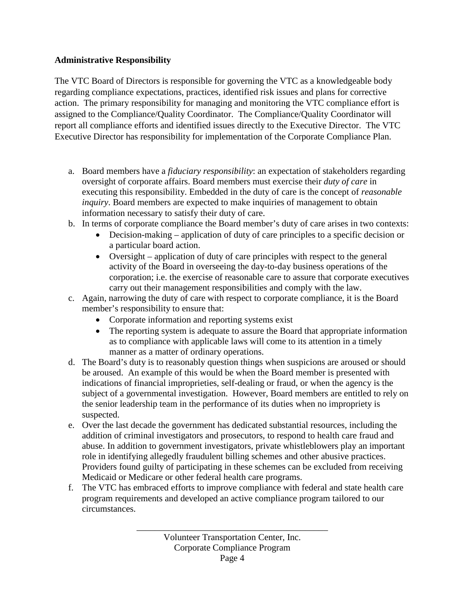#### **Administrative Responsibility**

The VTC Board of Directors is responsible for governing the VTC as a knowledgeable body regarding compliance expectations, practices, identified risk issues and plans for corrective action. The primary responsibility for managing and monitoring the VTC compliance effort is assigned to the Compliance/Quality Coordinator. The Compliance/Quality Coordinator will report all compliance efforts and identified issues directly to the Executive Director. The VTC Executive Director has responsibility for implementation of the Corporate Compliance Plan.

- a. Board members have a *fiduciary responsibility*: an expectation of stakeholders regarding oversight of corporate affairs. Board members must exercise their *duty of care* in executing this responsibility. Embedded in the duty of care is the concept of *reasonable inquiry*. Board members are expected to make inquiries of management to obtain information necessary to satisfy their duty of care.
- b. In terms of corporate compliance the Board member's duty of care arises in two contexts:
	- Decision-making application of duty of care principles to a specific decision or a particular board action.
	- Oversight application of duty of care principles with respect to the general activity of the Board in overseeing the day-to-day business operations of the corporation; i.e. the exercise of reasonable care to assure that corporate executives carry out their management responsibilities and comply with the law.
- c. Again, narrowing the duty of care with respect to corporate compliance, it is the Board member's responsibility to ensure that:
	- Corporate information and reporting systems exist
	- The reporting system is adequate to assure the Board that appropriate information as to compliance with applicable laws will come to its attention in a timely manner as a matter of ordinary operations.
- d. The Board's duty is to reasonably question things when suspicions are aroused or should be aroused. An example of this would be when the Board member is presented with indications of financial improprieties, self-dealing or fraud, or when the agency is the subject of a governmental investigation. However, Board members are entitled to rely on the senior leadership team in the performance of its duties when no impropriety is suspected.
- e. Over the last decade the government has dedicated substantial resources, including the addition of criminal investigators and prosecutors, to respond to health care fraud and abuse. In addition to government investigators, private whistleblowers play an important role in identifying allegedly fraudulent billing schemes and other abusive practices. Providers found guilty of participating in these schemes can be excluded from receiving Medicaid or Medicare or other federal health care programs.
- f. The VTC has embraced efforts to improve compliance with federal and state health care program requirements and developed an active compliance program tailored to our circumstances.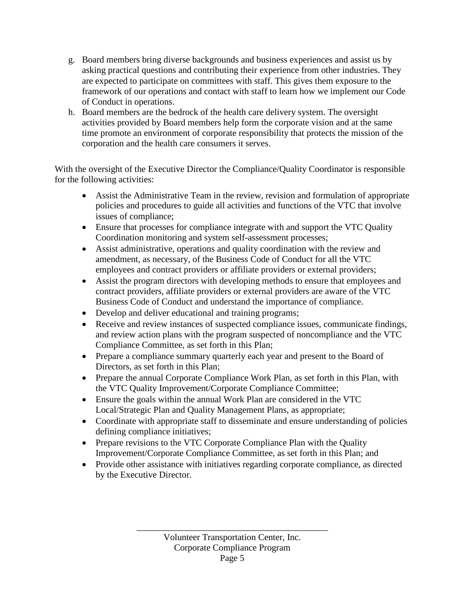- g. Board members bring diverse backgrounds and business experiences and assist us by asking practical questions and contributing their experience from other industries. They are expected to participate on committees with staff. This gives them exposure to the framework of our operations and contact with staff to learn how we implement our Code of Conduct in operations.
- h. Board members are the bedrock of the health care delivery system. The oversight activities provided by Board members help form the corporate vision and at the same time promote an environment of corporate responsibility that protects the mission of the corporation and the health care consumers it serves.

With the oversight of the Executive Director the Compliance/Quality Coordinator is responsible for the following activities:

- Assist the Administrative Team in the review, revision and formulation of appropriate policies and procedures to guide all activities and functions of the VTC that involve issues of compliance;
- Ensure that processes for compliance integrate with and support the VTC Quality Coordination monitoring and system self-assessment processes;
- Assist administrative, operations and quality coordination with the review and amendment, as necessary, of the Business Code of Conduct for all the VTC employees and contract providers or affiliate providers or external providers;
- Assist the program directors with developing methods to ensure that employees and contract providers, affiliate providers or external providers are aware of the VTC Business Code of Conduct and understand the importance of compliance.
- Develop and deliver educational and training programs;
- Receive and review instances of suspected compliance issues, communicate findings, and review action plans with the program suspected of noncompliance and the VTC Compliance Committee, as set forth in this Plan;
- Prepare a compliance summary quarterly each year and present to the Board of Directors, as set forth in this Plan;
- Prepare the annual Corporate Compliance Work Plan, as set forth in this Plan, with the VTC Quality Improvement/Corporate Compliance Committee;
- Ensure the goals within the annual Work Plan are considered in the VTC Local/Strategic Plan and Quality Management Plans, as appropriate;
- Coordinate with appropriate staff to disseminate and ensure understanding of policies defining compliance initiatives;
- Prepare revisions to the VTC Corporate Compliance Plan with the Quality Improvement/Corporate Compliance Committee, as set forth in this Plan; and
- Provide other assistance with initiatives regarding corporate compliance, as directed by the Executive Director.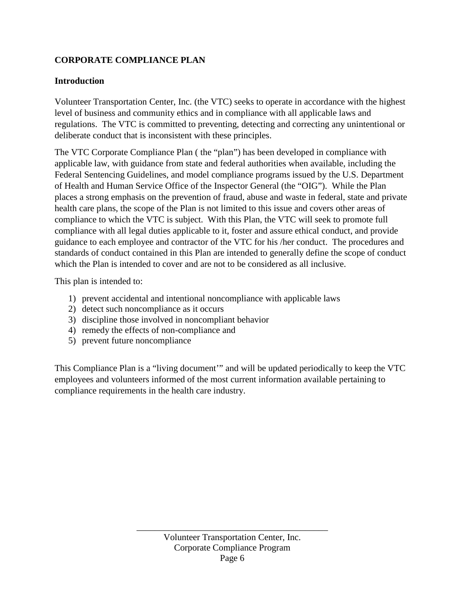# **CORPORATE COMPLIANCE PLAN**

#### **Introduction**

Volunteer Transportation Center, Inc. (the VTC) seeks to operate in accordance with the highest level of business and community ethics and in compliance with all applicable laws and regulations. The VTC is committed to preventing, detecting and correcting any unintentional or deliberate conduct that is inconsistent with these principles.

The VTC Corporate Compliance Plan ( the "plan") has been developed in compliance with applicable law, with guidance from state and federal authorities when available, including the Federal Sentencing Guidelines, and model compliance programs issued by the U.S. Department of Health and Human Service Office of the Inspector General (the "OIG"). While the Plan places a strong emphasis on the prevention of fraud, abuse and waste in federal, state and private health care plans, the scope of the Plan is not limited to this issue and covers other areas of compliance to which the VTC is subject. With this Plan, the VTC will seek to promote full compliance with all legal duties applicable to it, foster and assure ethical conduct, and provide guidance to each employee and contractor of the VTC for his /her conduct. The procedures and standards of conduct contained in this Plan are intended to generally define the scope of conduct which the Plan is intended to cover and are not to be considered as all inclusive.

This plan is intended to:

- 1) prevent accidental and intentional noncompliance with applicable laws
- 2) detect such noncompliance as it occurs
- 3) discipline those involved in noncompliant behavior
- 4) remedy the effects of non-compliance and
- 5) prevent future noncompliance

This Compliance Plan is a "living document'" and will be updated periodically to keep the VTC employees and volunteers informed of the most current information available pertaining to compliance requirements in the health care industry.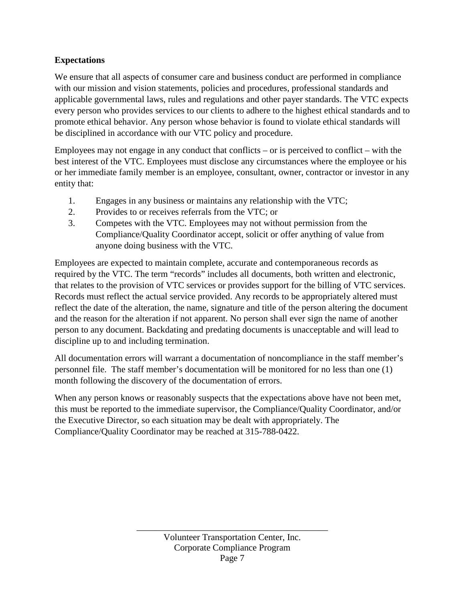# **Expectations**

We ensure that all aspects of consumer care and business conduct are performed in compliance with our mission and vision statements, policies and procedures, professional standards and applicable governmental laws, rules and regulations and other payer standards. The VTC expects every person who provides services to our clients to adhere to the highest ethical standards and to promote ethical behavior. Any person whose behavior is found to violate ethical standards will be disciplined in accordance with our VTC policy and procedure.

Employees may not engage in any conduct that conflicts – or is perceived to conflict – with the best interest of the VTC. Employees must disclose any circumstances where the employee or his or her immediate family member is an employee, consultant, owner, contractor or investor in any entity that:

- 1. Engages in any business or maintains any relationship with the VTC;
- 2. Provides to or receives referrals from the VTC; or
- 3. Competes with the VTC. Employees may not without permission from the Compliance/Quality Coordinator accept, solicit or offer anything of value from anyone doing business with the VTC.

Employees are expected to maintain complete, accurate and contemporaneous records as required by the VTC. The term "records" includes all documents, both written and electronic, that relates to the provision of VTC services or provides support for the billing of VTC services. Records must reflect the actual service provided. Any records to be appropriately altered must reflect the date of the alteration, the name, signature and title of the person altering the document and the reason for the alteration if not apparent. No person shall ever sign the name of another person to any document. Backdating and predating documents is unacceptable and will lead to discipline up to and including termination.

All documentation errors will warrant a documentation of noncompliance in the staff member's personnel file. The staff member's documentation will be monitored for no less than one (1) month following the discovery of the documentation of errors.

When any person knows or reasonably suspects that the expectations above have not been met, this must be reported to the immediate supervisor, the Compliance/Quality Coordinator, and/or the Executive Director, so each situation may be dealt with appropriately. The Compliance/Quality Coordinator may be reached at 315-788-0422.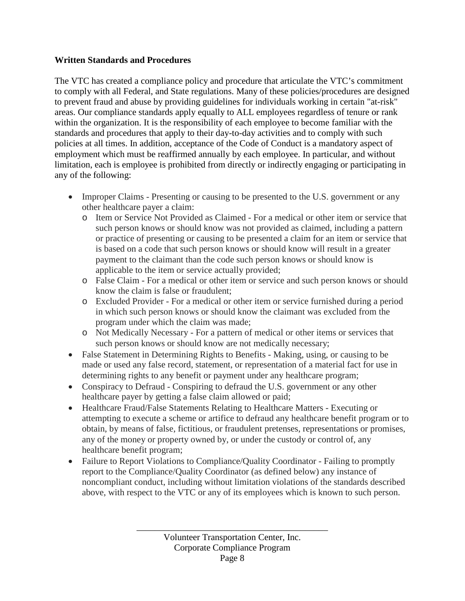#### **Written Standards and Procedures**

The VTC has created a compliance policy and procedure that articulate the VTC's commitment to comply with all Federal, and State regulations. Many of these policies/procedures are designed to prevent fraud and abuse by providing guidelines for individuals working in certain "at-risk" areas. Our compliance standards apply equally to ALL employees regardless of tenure or rank within the organization. It is the responsibility of each employee to become familiar with the standards and procedures that apply to their day-to-day activities and to comply with such policies at all times. In addition, acceptance of the Code of Conduct is a mandatory aspect of employment which must be reaffirmed annually by each employee. In particular, and without limitation, each is employee is prohibited from directly or indirectly engaging or participating in any of the following:

- Improper Claims Presenting or causing to be presented to the U.S. government or any other healthcare payer a claim:
	- o Item or Service Not Provided as Claimed For a medical or other item or service that such person knows or should know was not provided as claimed, including a pattern or practice of presenting or causing to be presented a claim for an item or service that is based on a code that such person knows or should know will result in a greater payment to the claimant than the code such person knows or should know is applicable to the item or service actually provided;
	- o False Claim For a medical or other item or service and such person knows or should know the claim is false or fraudulent;
	- o Excluded Provider For a medical or other item or service furnished during a period in which such person knows or should know the claimant was excluded from the program under which the claim was made;
	- o Not Medically Necessary For a pattern of medical or other items or services that such person knows or should know are not medically necessary;
- False Statement in Determining Rights to Benefits Making, using, or causing to be made or used any false record, statement, or representation of a material fact for use in determining rights to any benefit or payment under any healthcare program;
- Conspiracy to Defraud Conspiring to defraud the U.S. government or any other healthcare payer by getting a false claim allowed or paid;
- Healthcare Fraud/False Statements Relating to Healthcare Matters Executing or attempting to execute a scheme or artifice to defraud any healthcare benefit program or to obtain, by means of false, fictitious, or fraudulent pretenses, representations or promises, any of the money or property owned by, or under the custody or control of, any healthcare benefit program;
- Failure to Report Violations to Compliance/Quality Coordinator Failing to promptly report to the Compliance/Quality Coordinator (as defined below) any instance of noncompliant conduct, including without limitation violations of the standards described above, with respect to the VTC or any of its employees which is known to such person.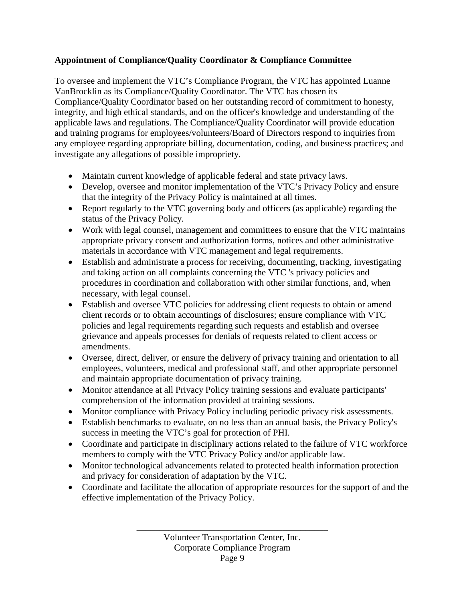#### **Appointment of Compliance/Quality Coordinator & Compliance Committee**

To oversee and implement the VTC's Compliance Program, the VTC has appointed Luanne VanBrocklin as its Compliance/Quality Coordinator. The VTC has chosen its Compliance/Quality Coordinator based on her outstanding record of commitment to honesty, integrity, and high ethical standards, and on the officer's knowledge and understanding of the applicable laws and regulations. The Compliance/Quality Coordinator will provide education and training programs for employees/volunteers/Board of Directors respond to inquiries from any employee regarding appropriate billing, documentation, coding, and business practices; and investigate any allegations of possible impropriety.

- Maintain current knowledge of applicable federal and state privacy laws.
- Develop, oversee and monitor implementation of the VTC's Privacy Policy and ensure that the integrity of the Privacy Policy is maintained at all times.
- Report regularly to the VTC governing body and officers (as applicable) regarding the status of the Privacy Policy.
- Work with legal counsel, management and committees to ensure that the VTC maintains appropriate privacy consent and authorization forms, notices and other administrative materials in accordance with VTC management and legal requirements.
- Establish and administrate a process for receiving, documenting, tracking, investigating and taking action on all complaints concerning the VTC 's privacy policies and procedures in coordination and collaboration with other similar functions, and, when necessary, with legal counsel.
- Establish and oversee VTC policies for addressing client requests to obtain or amend client records or to obtain accountings of disclosures; ensure compliance with VTC policies and legal requirements regarding such requests and establish and oversee grievance and appeals processes for denials of requests related to client access or amendments.
- Oversee, direct, deliver, or ensure the delivery of privacy training and orientation to all employees, volunteers, medical and professional staff, and other appropriate personnel and maintain appropriate documentation of privacy training.
- Monitor attendance at all Privacy Policy training sessions and evaluate participants' comprehension of the information provided at training sessions.
- Monitor compliance with Privacy Policy including periodic privacy risk assessments.
- Establish benchmarks to evaluate, on no less than an annual basis, the Privacy Policy's success in meeting the VTC's goal for protection of PHI.
- Coordinate and participate in disciplinary actions related to the failure of VTC workforce members to comply with the VTC Privacy Policy and/or applicable law.
- Monitor technological advancements related to protected health information protection and privacy for consideration of adaptation by the VTC.
- Coordinate and facilitate the allocation of appropriate resources for the support of and the effective implementation of the Privacy Policy.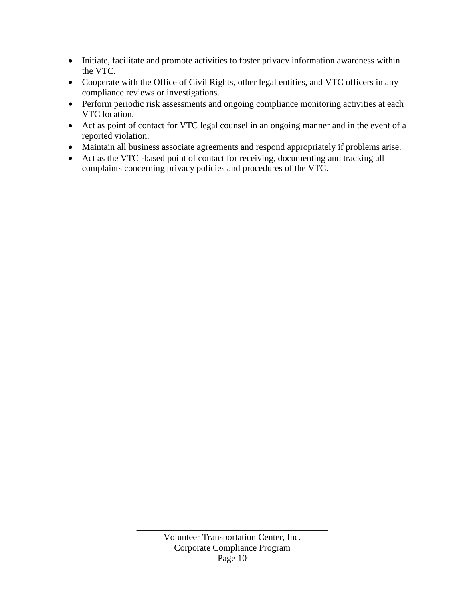- Initiate, facilitate and promote activities to foster privacy information awareness within the VTC.
- Cooperate with the Office of Civil Rights, other legal entities, and VTC officers in any compliance reviews or investigations.
- Perform periodic risk assessments and ongoing compliance monitoring activities at each VTC location.
- Act as point of contact for VTC legal counsel in an ongoing manner and in the event of a reported violation.
- Maintain all business associate agreements and respond appropriately if problems arise.
- Act as the VTC -based point of contact for receiving, documenting and tracking all complaints concerning privacy policies and procedures of the VTC.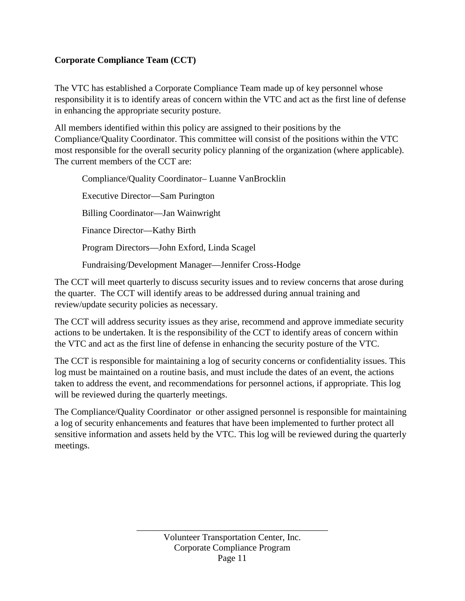# **Corporate Compliance Team (CCT)**

The VTC has established a Corporate Compliance Team made up of key personnel whose responsibility it is to identify areas of concern within the VTC and act as the first line of defense in enhancing the appropriate security posture.

All members identified within this policy are assigned to their positions by the Compliance/Quality Coordinator. This committee will consist of the positions within the VTC most responsible for the overall security policy planning of the organization (where applicable). The current members of the CCT are:

Compliance/Quality Coordinator– Luanne VanBrocklin Executive Director—Sam Purington Billing Coordinator—Jan Wainwright Finance Director—Kathy Birth Program Directors—John Exford, Linda Scagel Fundraising/Development Manager—Jennifer Cross-Hodge

The CCT will meet quarterly to discuss security issues and to review concerns that arose during the quarter. The CCT will identify areas to be addressed during annual training and review/update security policies as necessary.

The CCT will address security issues as they arise, recommend and approve immediate security actions to be undertaken. It is the responsibility of the CCT to identify areas of concern within the VTC and act as the first line of defense in enhancing the security posture of the VTC.

The CCT is responsible for maintaining a log of security concerns or confidentiality issues. This log must be maintained on a routine basis, and must include the dates of an event, the actions taken to address the event, and recommendations for personnel actions, if appropriate. This log will be reviewed during the quarterly meetings.

The Compliance/Quality Coordinator or other assigned personnel is responsible for maintaining a log of security enhancements and features that have been implemented to further protect all sensitive information and assets held by the VTC. This log will be reviewed during the quarterly meetings.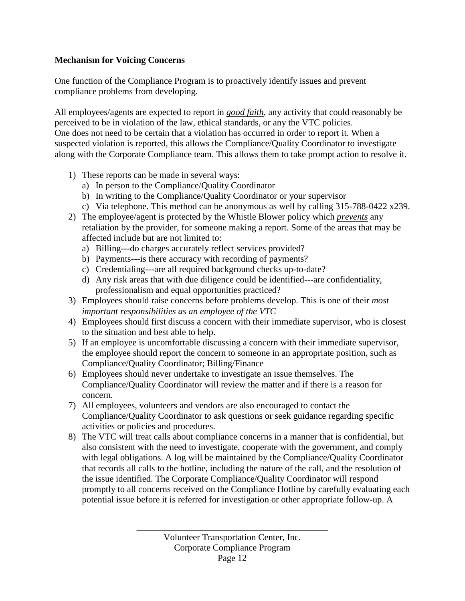#### **Mechanism for Voicing Concerns**

One function of the Compliance Program is to proactively identify issues and prevent compliance problems from developing.

All employees/agents are expected to report in *good faith*, any activity that could reasonably be perceived to be in violation of the law, ethical standards, or any the VTC policies. One does not need to be certain that a violation has occurred in order to report it. When a suspected violation is reported, this allows the Compliance/Quality Coordinator to investigate along with the Corporate Compliance team. This allows them to take prompt action to resolve it.

- 1) These reports can be made in several ways:
	- a) In person to the Compliance/Quality Coordinator
	- b) In writing to the Compliance/Quality Coordinator or your supervisor
	- c) Via telephone. This method can be anonymous as well by calling 315-788-0422 x239.
- 2) The employee/agent is protected by the Whistle Blower policy which *prevents* any retaliation by the provider, for someone making a report. Some of the areas that may be affected include but are not limited to:
	- a) Billing---do charges accurately reflect services provided?
	- b) Payments---is there accuracy with recording of payments?
	- c) Credentialing---are all required background checks up-to-date?
	- d) Any risk areas that with due diligence could be identified---are confidentiality, professionalism and equal opportunities practiced?
- 3) Employees should raise concerns before problems develop. This is one of their *most important responsibilities as an employee of the VTC*
- 4) Employees should first discuss a concern with their immediate supervisor, who is closest to the situation and best able to help.
- 5) If an employee is uncomfortable discussing a concern with their immediate supervisor, the employee should report the concern to someone in an appropriate position, such as Compliance/Quality Coordinator; Billing/Finance
- 6) Employees should never undertake to investigate an issue themselves. The Compliance/Quality Coordinator will review the matter and if there is a reason for concern.
- 7) All employees, volunteers and vendors are also encouraged to contact the Compliance/Quality Coordinator to ask questions or seek guidance regarding specific activities or policies and procedures.
- 8) The VTC will treat calls about compliance concerns in a manner that is confidential, but also consistent with the need to investigate, cooperate with the government, and comply with legal obligations. A log will be maintained by the Compliance/Quality Coordinator that records all calls to the hotline, including the nature of the call, and the resolution of the issue identified. The Corporate Compliance/Quality Coordinator will respond promptly to all concerns received on the Compliance Hotline by carefully evaluating each potential issue before it is referred for investigation or other appropriate follow-up. A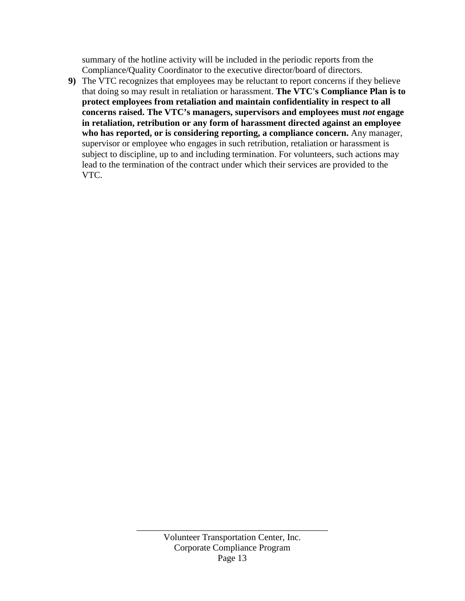summary of the hotline activity will be included in the periodic reports from the Compliance/Quality Coordinator to the executive director/board of directors.

**9)** The VTC recognizes that employees may be reluctant to report concerns if they believe that doing so may result in retaliation or harassment. **The VTC's Compliance Plan is to protect employees from retaliation and maintain confidentiality in respect to all concerns raised. The VTC's managers, supervisors and employees must** *not* **engage in retaliation, retribution or any form of harassment directed against an employee who has reported, or is considering reporting, a compliance concern.** Any manager, supervisor or employee who engages in such retribution, retaliation or harassment is subject to discipline, up to and including termination. For volunteers, such actions may lead to the termination of the contract under which their services are provided to the VTC.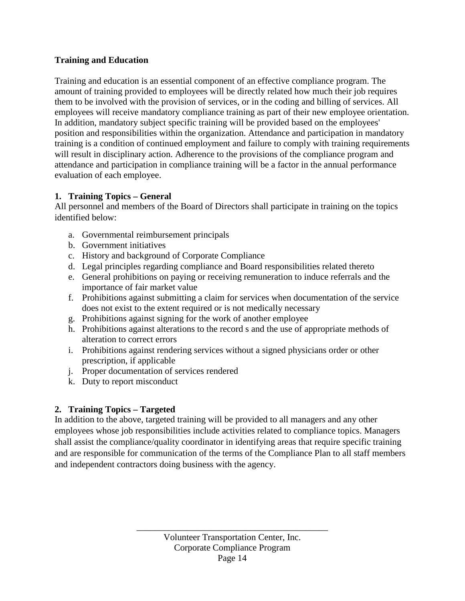#### **Training and Education**

Training and education is an essential component of an effective compliance program. The amount of training provided to employees will be directly related how much their job requires them to be involved with the provision of services, or in the coding and billing of services. All employees will receive mandatory compliance training as part of their new employee orientation. In addition, mandatory subject specific training will be provided based on the employees' position and responsibilities within the organization. Attendance and participation in mandatory training is a condition of continued employment and failure to comply with training requirements will result in disciplinary action. Adherence to the provisions of the compliance program and attendance and participation in compliance training will be a factor in the annual performance evaluation of each employee.

#### **1. Training Topics – General**

All personnel and members of the Board of Directors shall participate in training on the topics identified below:

- a. Governmental reimbursement principals
- b. Government initiatives
- c. History and background of Corporate Compliance
- d. Legal principles regarding compliance and Board responsibilities related thereto
- e. General prohibitions on paying or receiving remuneration to induce referrals and the importance of fair market value
- f. Prohibitions against submitting a claim for services when documentation of the service does not exist to the extent required or is not medically necessary
- g. Prohibitions against signing for the work of another employee
- h. Prohibitions against alterations to the record s and the use of appropriate methods of alteration to correct errors
- i. Prohibitions against rendering services without a signed physicians order or other prescription, if applicable
- j. Proper documentation of services rendered
- k. Duty to report misconduct

# **2. Training Topics – Targeted**

In addition to the above, targeted training will be provided to all managers and any other employees whose job responsibilities include activities related to compliance topics. Managers shall assist the compliance/quality coordinator in identifying areas that require specific training and are responsible for communication of the terms of the Compliance Plan to all staff members and independent contractors doing business with the agency.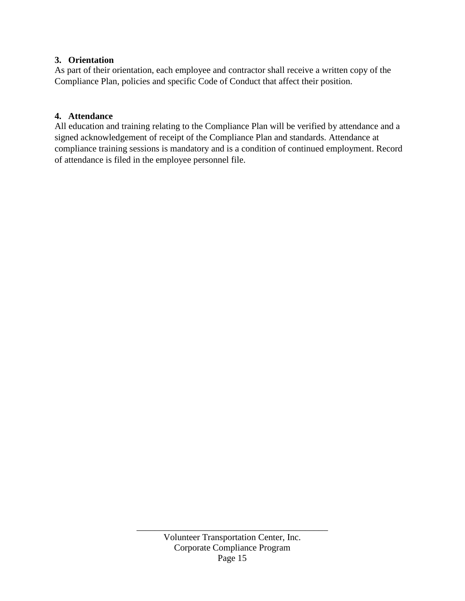#### **3. Orientation**

As part of their orientation, each employee and contractor shall receive a written copy of the Compliance Plan, policies and specific Code of Conduct that affect their position.

#### **4. Attendance**

All education and training relating to the Compliance Plan will be verified by attendance and a signed acknowledgement of receipt of the Compliance Plan and standards. Attendance at compliance training sessions is mandatory and is a condition of continued employment. Record of attendance is filed in the employee personnel file.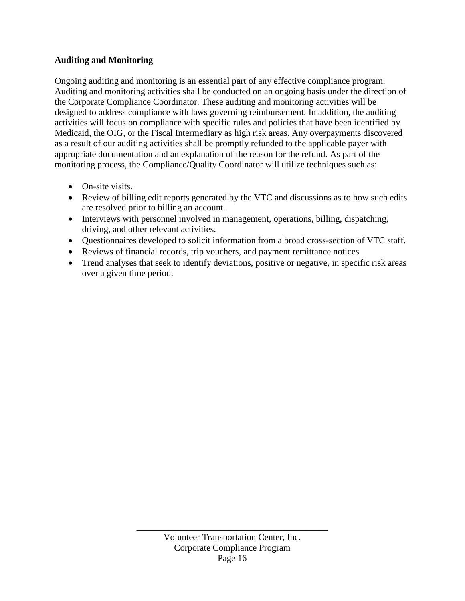#### **Auditing and Monitoring**

Ongoing auditing and monitoring is an essential part of any effective compliance program. Auditing and monitoring activities shall be conducted on an ongoing basis under the direction of the Corporate Compliance Coordinator. These auditing and monitoring activities will be designed to address compliance with laws governing reimbursement. In addition, the auditing activities will focus on compliance with specific rules and policies that have been identified by Medicaid, the OIG, or the Fiscal Intermediary as high risk areas. Any overpayments discovered as a result of our auditing activities shall be promptly refunded to the applicable payer with appropriate documentation and an explanation of the reason for the refund. As part of the monitoring process, the Compliance/Quality Coordinator will utilize techniques such as:

- On-site visits.
- Review of billing edit reports generated by the VTC and discussions as to how such edits are resolved prior to billing an account.
- Interviews with personnel involved in management, operations, billing, dispatching, driving, and other relevant activities.
- Questionnaires developed to solicit information from a broad cross-section of VTC staff.
- Reviews of financial records, trip vouchers, and payment remittance notices
- Trend analyses that seek to identify deviations, positive or negative, in specific risk areas over a given time period.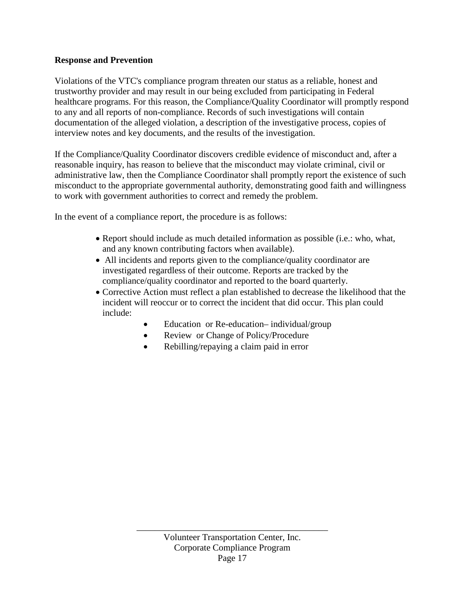#### **Response and Prevention**

Violations of the VTC's compliance program threaten our status as a reliable, honest and trustworthy provider and may result in our being excluded from participating in Federal healthcare programs. For this reason, the Compliance/Quality Coordinator will promptly respond to any and all reports of non-compliance. Records of such investigations will contain documentation of the alleged violation, a description of the investigative process, copies of interview notes and key documents, and the results of the investigation.

If the Compliance/Quality Coordinator discovers credible evidence of misconduct and, after a reasonable inquiry, has reason to believe that the misconduct may violate criminal, civil or administrative law, then the Compliance Coordinator shall promptly report the existence of such misconduct to the appropriate governmental authority, demonstrating good faith and willingness to work with government authorities to correct and remedy the problem.

In the event of a compliance report, the procedure is as follows:

- Report should include as much detailed information as possible (i.e.: who, what, and any known contributing factors when available).
- All incidents and reports given to the compliance/quality coordinator are investigated regardless of their outcome. Reports are tracked by the compliance/quality coordinator and reported to the board quarterly.
- Corrective Action must reflect a plan established to decrease the likelihood that the incident will reoccur or to correct the incident that did occur. This plan could include:
	- Education or Re-education– individual/group
	- Review or Change of Policy/Procedure
	- Rebilling/repaying a claim paid in error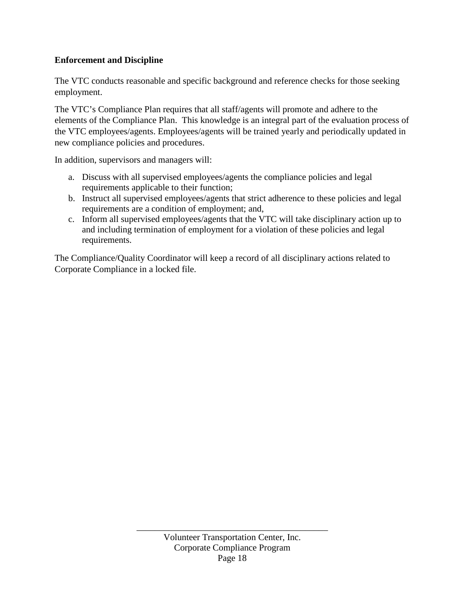#### **Enforcement and Discipline**

The VTC conducts reasonable and specific background and reference checks for those seeking employment.

The VTC's Compliance Plan requires that all staff/agents will promote and adhere to the elements of the Compliance Plan. This knowledge is an integral part of the evaluation process of the VTC employees/agents. Employees/agents will be trained yearly and periodically updated in new compliance policies and procedures.

In addition, supervisors and managers will:

- a. Discuss with all supervised employees/agents the compliance policies and legal requirements applicable to their function;
- b. Instruct all supervised employees/agents that strict adherence to these policies and legal requirements are a condition of employment; and,
- c. Inform all supervised employees/agents that the VTC will take disciplinary action up to and including termination of employment for a violation of these policies and legal requirements.

The Compliance/Quality Coordinator will keep a record of all disciplinary actions related to Corporate Compliance in a locked file.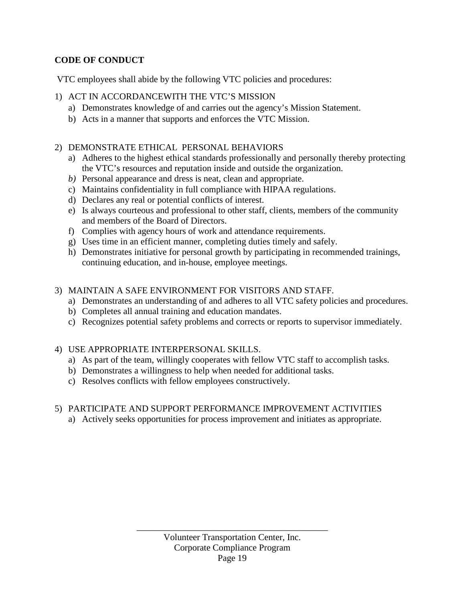# **CODE OF CONDUCT**

VTC employees shall abide by the following VTC policies and procedures:

- 1) ACT IN ACCORDANCEWITH THE VTC'S MISSION
	- a) Demonstrates knowledge of and carries out the agency's Mission Statement.
	- b) Acts in a manner that supports and enforces the VTC Mission.

# 2) DEMONSTRATE ETHICAL PERSONAL BEHAVIORS

- a) Adheres to the highest ethical standards professionally and personally thereby protecting the VTC's resources and reputation inside and outside the organization.
- *b)* Personal appearance and dress is neat, clean and appropriate.
- c) Maintains confidentiality in full compliance with HIPAA regulations.
- d) Declares any real or potential conflicts of interest.
- e) Is always courteous and professional to other staff, clients, members of the community and members of the Board of Directors.
- f) Complies with agency hours of work and attendance requirements.
- g) Uses time in an efficient manner, completing duties timely and safely.
- h) Demonstrates initiative for personal growth by participating in recommended trainings, continuing education, and in-house, employee meetings.

# 3) MAINTAIN A SAFE ENVIRONMENT FOR VISITORS AND STAFF.

- a) Demonstrates an understanding of and adheres to all VTC safety policies and procedures.
- b) Completes all annual training and education mandates.
- c) Recognizes potential safety problems and corrects or reports to supervisor immediately.

# 4) USE APPROPRIATE INTERPERSONAL SKILLS.

- a) As part of the team, willingly cooperates with fellow VTC staff to accomplish tasks.
- b) Demonstrates a willingness to help when needed for additional tasks.
- c) Resolves conflicts with fellow employees constructively.

# 5) PARTICIPATE AND SUPPORT PERFORMANCE IMPROVEMENT ACTIVITIES

a) Actively seeks opportunities for process improvement and initiates as appropriate.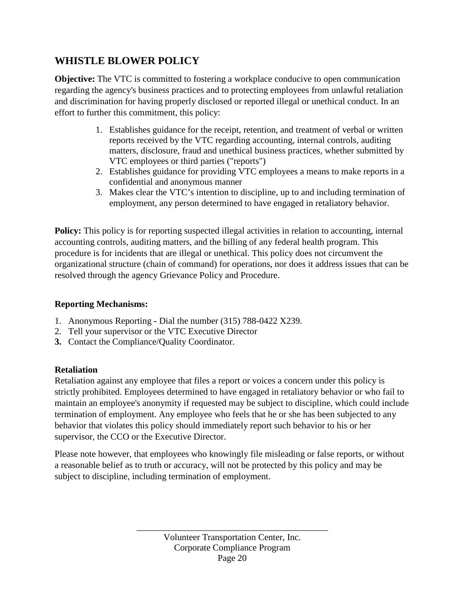# **WHISTLE BLOWER POLICY**

**Objective:** The VTC is committed to fostering a workplace conducive to open communication regarding the agency's business practices and to protecting employees from unlawful retaliation and discrimination for having properly disclosed or reported illegal or unethical conduct. In an effort to further this commitment, this policy:

- 1. Establishes guidance for the receipt, retention, and treatment of verbal or written reports received by the VTC regarding accounting, internal controls, auditing matters, disclosure, fraud and unethical business practices, whether submitted by VTC employees or third parties ("reports")
- 2. Establishes guidance for providing VTC employees a means to make reports in a confidential and anonymous manner
- 3. Makes clear the VTC's intention to discipline, up to and including termination of employment, any person determined to have engaged in retaliatory behavior.

**Policy:** This policy is for reporting suspected illegal activities in relation to accounting, internal accounting controls, auditing matters, and the billing of any federal health program. This procedure is for incidents that are illegal or unethical. This policy does not circumvent the organizational structure (chain of command) for operations, nor does it address issues that can be resolved through the agency Grievance Policy and Procedure.

#### **Reporting Mechanisms:**

- 1. Anonymous Reporting **-** Dial the number (315) 788-0422 X239.
- 2. Tell your supervisor or the VTC Executive Director
- **3.** Contact the Compliance/Quality Coordinator.

# **Retaliation**

Retaliation against any employee that files a report or voices a concern under this policy is strictly prohibited. Employees determined to have engaged in retaliatory behavior or who fail to maintain an employee's anonymity if requested may be subject to discipline, which could include termination of employment. Any employee who feels that he or she has been subjected to any behavior that violates this policy should immediately report such behavior to his or her supervisor, the CCO or the Executive Director.

Please note however, that employees who knowingly file misleading or false reports, or without a reasonable belief as to truth or accuracy, will not be protected by this policy and may be subject to discipline, including termination of employment.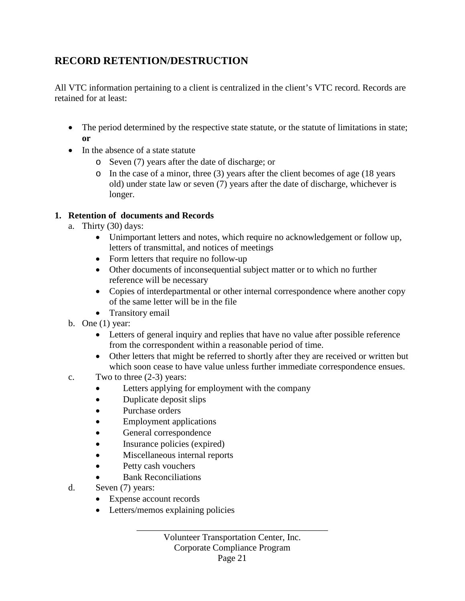# **RECORD RETENTION/DESTRUCTION**

All VTC information pertaining to a client is centralized in the client's VTC record. Records are retained for at least:

- The period determined by the respective state statute, or the statute of limitations in state; **or**
- In the absence of a state statute
	- o Seven (7) years after the date of discharge; or
	- o In the case of a minor, three (3) years after the client becomes of age (18 years old) under state law or seven (7) years after the date of discharge, whichever is longer.

# **1. Retention of documents and Records**

- a. Thirty (30) days:
	- Unimportant letters and notes, which require no acknowledgement or follow up, letters of transmittal, and notices of meetings
	- Form letters that require no follow-up
	- Other documents of inconsequential subject matter or to which no further reference will be necessary
	- Copies of interdepartmental or other internal correspondence where another copy of the same letter will be in the file
	- Transitory email
- b. One  $(1)$  year:
	- Letters of general inquiry and replies that have no value after possible reference from the correspondent within a reasonable period of time.
	- Other letters that might be referred to shortly after they are received or written but which soon cease to have value unless further immediate correspondence ensues.
- c. Two to three (2-3) years:
	- Letters applying for employment with the company
	- Duplicate deposit slips
	- Purchase orders
	- Employment applications
	- General correspondence
	- Insurance policies (expired)
	- Miscellaneous internal reports
	- Petty cash vouchers
	- Bank Reconciliations
- d. Seven (7) years:
	- Expense account records
	- Letters/memos explaining policies

\_\_\_\_\_\_\_\_\_\_\_\_\_\_\_\_\_\_\_\_\_\_\_\_\_\_\_\_\_\_\_\_\_\_\_\_\_\_\_\_\_\_ Volunteer Transportation Center, Inc. Corporate Compliance Program Page 21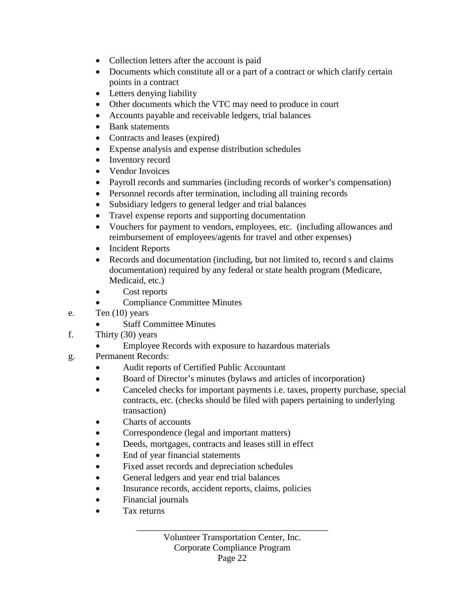- Collection letters after the account is paid
- Documents which constitute all or a part of a contract or which clarify certain points in a contract
- Letters denying liability
- Other documents which the VTC may need to produce in court
- Accounts payable and receivable ledgers, trial balances
- Bank statements
- Contracts and leases (expired)
- Expense analysis and expense distribution schedules
- Inventory record
- Vendor Invoices
- Payroll records and summaries (including records of worker's compensation)
- Personnel records after termination, including all training records
- Subsidiary ledgers to general ledger and trial balances
- Travel expense reports and supporting documentation
- Vouchers for payment to vendors, employees, etc. (including allowances and reimbursement of employees/agents for travel and other expenses)
- Incident Reports
- Records and documentation (including, but not limited to, record s and claims documentation) required by any federal or state health program (Medicare, Medicaid, etc.)
- Cost reports
- Compliance Committee Minutes
- e. Ten (10) years
	- **Staff Committee Minutes**
- f. Thirty (30) years
	- Employee Records with exposure to hazardous materials
- g. Permanent Records:
	- Audit reports of Certified Public Accountant
	- Board of Director's minutes (bylaws and articles of incorporation)
	- Canceled checks for important payments i.e. taxes, property purchase, special contracts, etc. (checks should be filed with papers pertaining to underlying transaction)
	- Charts of accounts
	- Correspondence (legal and important matters)
	- Deeds, mortgages, contracts and leases still in effect
	- End of year financial statements
	- Fixed asset records and depreciation schedules
	- General ledgers and year end trial balances
	- Insurance records, accident reports, claims, policies
	- Financial journals
	- Tax returns

\_\_\_\_\_\_\_\_\_\_\_\_\_\_\_\_\_\_\_\_\_\_\_\_\_\_\_\_\_\_\_\_\_\_\_\_\_\_\_\_\_\_ Volunteer Transportation Center, Inc. Corporate Compliance Program Page 22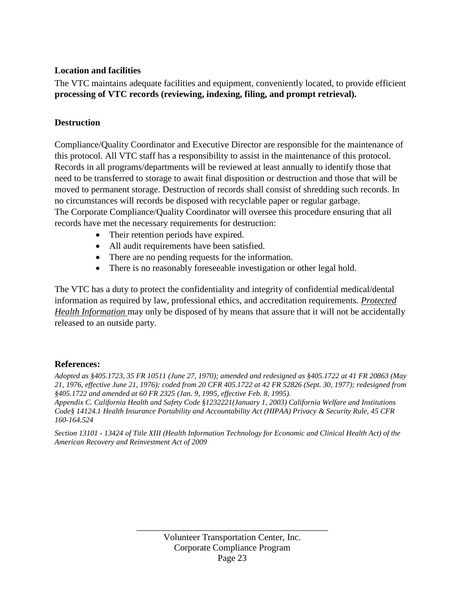#### **Location and facilities**

The VTC maintains adequate facilities and equipment, conveniently located, to provide efficient **processing of VTC records (reviewing, indexing, filing, and prompt retrieval).** 

#### **Destruction**

Compliance/Quality Coordinator and Executive Director are responsible for the maintenance of this protocol. All VTC staff has a responsibility to assist in the maintenance of this protocol. Records in all programs/departments will be reviewed at least annually to identify those that need to be transferred to storage to await final disposition or destruction and those that will be moved to permanent storage. Destruction of records shall consist of shredding such records. In no circumstances will records be disposed with recyclable paper or regular garbage. The Corporate Compliance/Quality Coordinator will oversee this procedure ensuring that all records have met the necessary requirements for destruction:

- Their retention periods have expired.
- All audit requirements have been satisfied.
- There are no pending requests for the information.
- There is no reasonably foreseeable investigation or other legal hold.

The VTC has a duty to protect the confidentiality and integrity of confidential medical/dental information as required by law, professional ethics, and accreditation requirements*. Protected Health Information* may only be disposed of by means that assure that it will not be accidentally released to an outside party.

#### **References:**

*Adopted as §405.1723, 35 FR 10511 (June 27, 1970); amended and redesigned as §405.1722 at 41 FR 20863 (May 21, 1976, effective June 21, 1976); coded from 20 CFR 405.1722 at 42 FR 52826 (Sept. 30, 1977); redesigned from §405.1722 and amended at 60 FR 2325 (Jan. 9, 1995, effective Feb. 8, 1995).* 

*Appendix C. California Health and Safety Code §1232221(January 1, 2003) California Welfare and Institutions Code§ 14124.1 Health Insurance Portability and Accountability Act (HIPAA) Privacy & Security Rule, 45 CFR 160-164.524* 

*Section 13101 - 13424 of Title XIII (Health Information Technology for Economic and Clinical Health Act) of the American Recovery and Reinvestment Act of 2009*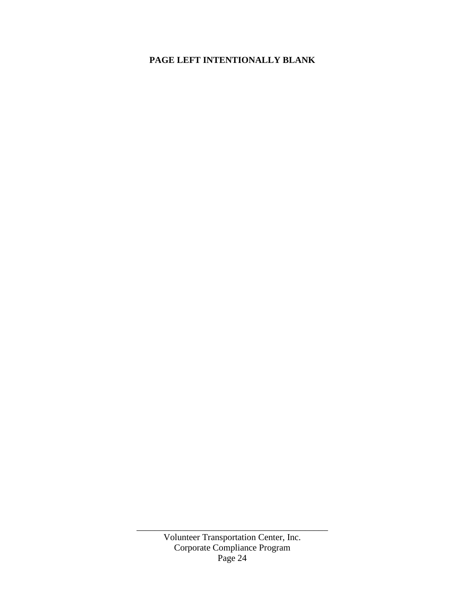# **PAGE LEFT INTENTIONALLY BLANK**

\_\_\_\_\_\_\_\_\_\_\_\_\_\_\_\_\_\_\_\_\_\_\_\_\_\_\_\_\_\_\_\_\_\_\_\_\_\_\_\_\_\_ Volunteer Transportation Center, Inc. Corporate Compliance Program Page 24